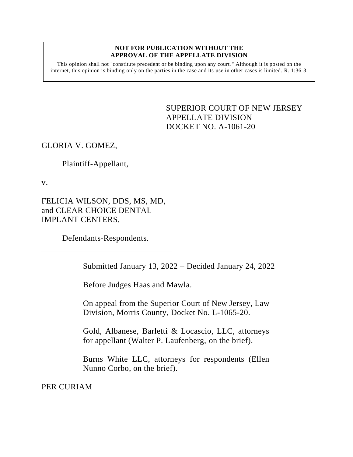## **NOT FOR PUBLICATION WITHOUT THE APPROVAL OF THE APPELLATE DIVISION**

This opinion shall not "constitute precedent or be binding upon any court." Although it is posted on the internet, this opinion is binding only on the parties in the case and its use in other cases is limited.  $R_1$  1:36-3.

> <span id="page-0-0"></span>SUPERIOR COURT OF NEW JERSEY APPELLATE DIVISION DOCKET NO. A-1061-20

## GLORIA V. GOMEZ,

Plaintiff-Appellant,

v.

FELICIA WILSON, DDS, MS, MD, and CLEAR CHOICE DENTAL IMPLANT CENTERS,

Defendants-Respondents. \_\_\_\_\_\_\_\_\_\_\_\_\_\_\_\_\_\_\_\_\_\_\_\_\_\_\_\_\_\_\_

Submitted January 13, 2022 – Decided January 24, 2022

Before Judges Haas and Mawla.

On appeal from the Superior Court of New Jersey, Law Division, Morris County, Docket No. L-1065-20.

Gold, Albanese, Barletti & Locascio, LLC, attorneys for appellant (Walter P. Laufenberg, on the brief).

Burns White LLC, attorneys for respondents (Ellen Nunno Corbo, on the brief).

PER CURIAM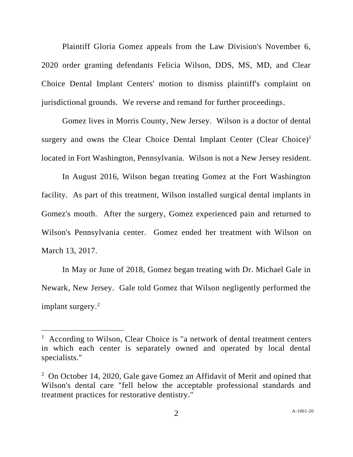Plaintiff Gloria Gomez appeals from the Law Division's November 6, 2020 order granting defendants Felicia Wilson, DDS, MS, MD, and Clear Choice Dental Implant Centers' motion to dismiss plaintiff's complaint on jurisdictional grounds. We reverse and remand for further proceedings.

Gomez lives in Morris County, New Jersey. Wilson is a doctor of dental surgery and owns the Clear Choice Dental Implant Center (Clear Choice)<sup>1</sup> located in Fort Washington, Pennsylvania. Wilson is not a New Jersey resident.

In August 2016, Wilson began treating Gomez at the Fort Washington facility. As part of this treatment, Wilson installed surgical dental implants in Gomez's mouth. After the surgery, Gomez experienced pain and returned to Wilson's Pennsylvania center. Gomez ended her treatment with Wilson on March 13, 2017.

In May or June of 2018, Gomez began treating with Dr. Michael Gale in Newark, New Jersey. Gale told Gomez that Wilson negligently performed the implant surgery.<sup>2</sup>

<sup>&</sup>lt;sup>1</sup> According to Wilson, Clear Choice is "a network of dental treatment centers in which each center is separately owned and operated by local dental specialists."

<sup>&</sup>lt;sup>2</sup> On October 14, 2020, Gale gave Gomez an Affidavit of Merit and opined that Wilson's dental care "fell below the acceptable professional standards and treatment practices for restorative dentistry."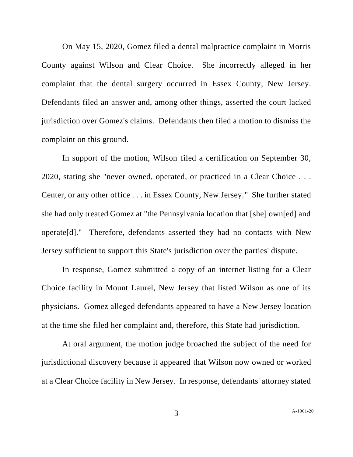On May 15, 2020, Gomez filed a dental malpractice complaint in Morris County against Wilson and Clear Choice. She incorrectly alleged in her complaint that the dental surgery occurred in Essex County, New Jersey. Defendants filed an answer and, among other things, asserted the court lacked jurisdiction over Gomez's claims. Defendants then filed a motion to dismiss the complaint on this ground.

In support of the motion, Wilson filed a certification on September 30, 2020, stating she "never owned, operated, or practiced in a Clear Choice . . . Center, or any other office . . . in Essex County, New Jersey." She further stated she had only treated Gomez at "the Pennsylvania location that [she] own[ed] and operate[d]." Therefore, defendants asserted they had no contacts with New Jersey sufficient to support this State's jurisdiction over the parties' dispute.

In response, Gomez submitted a copy of an internet listing for a Clear Choice facility in Mount Laurel, New Jersey that listed Wilson as one of its physicians. Gomez alleged defendants appeared to have a New Jersey location at the time she filed her complaint and, therefore, this State had jurisdiction.

At oral argument, the motion judge broached the subject of the need for jurisdictional discovery because it appeared that Wilson now owned or worked at a Clear Choice facility in New Jersey. In response, defendants' attorney stated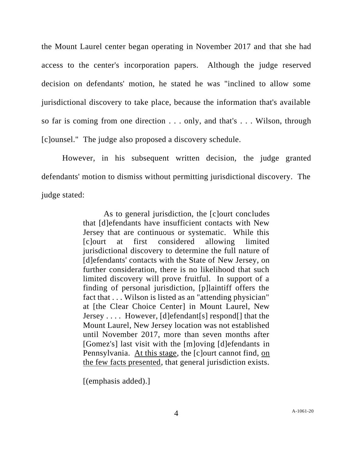the Mount Laurel center began operating in November 2017 and that she had access to the center's incorporation papers. Although the judge reserved decision on defendants' motion, he stated he was "inclined to allow some jurisdictional discovery to take place, because the information that's available so far is coming from one direction . . . only, and that's . . . Wilson, through [c]ounsel." The judge also proposed a discovery schedule.

However, in his subsequent written decision, the judge granted defendants' motion to dismiss without permitting jurisdictional discovery. The judge stated:

> As to general jurisdiction, the [c]ourt concludes that [d]efendants have insufficient contacts with New Jersey that are continuous or systematic. While this [c]ourt at first considered allowing limited jurisdictional discovery to determine the full nature of [d]efendants' contacts with the State of New Jersey, on further consideration, there is no likelihood that such limited discovery will prove fruitful. In support of a finding of personal jurisdiction, [p]laintiff offers the fact that . . . Wilson is listed as an "attending physician" at [the Clear Choice Center] in Mount Laurel, New Jersey . . . . However, [d]efendant[s] respond[] that the Mount Laurel, New Jersey location was not established until November 2017, more than seven months after [Gomez's] last visit with the [m]oving [d]efendants in Pennsylvania. At this stage, the [c]ourt cannot find, on the few facts presented, that general jurisdiction exists.

[(emphasis added).]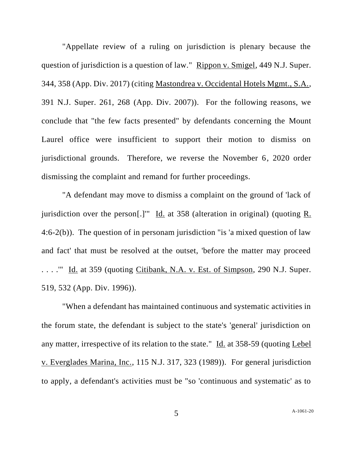"Appellate review of a ruling on jurisdiction is plenary because the question of jurisdiction is a question of law." Rippon v. Smigel, 449 N.J. Super. 344, 358 (App. Div. 2017) (citing Mastondrea v. Occidental Hotels Mgmt., S.A., 391 N.J. Super. 261, 268 (App. Div. 2007)). For the following reasons, we conclude that "the few facts presented" by defendants concerning the Mount Laurel office were insufficient to support their motion to dismiss on jurisdictional grounds. Therefore, we reverse the November 6, 2020 order dismissing the complaint and remand for further proceedings.

"A defendant may move to dismiss a complaint on the ground of 'lack of jurisdiction over the person[.]" Id. at 358 (alteration in original) (quoting  $R$ . 4:6-2(b)). The question of in personam jurisdiction "is 'a mixed question of law and fact' that must be resolved at the outset, 'before the matter may proceed . . . .'" Id. at 359 (quoting Citibank, N.A. v. Est. of Simpson, 290 N.J. Super. 519, 532 (App. Div. 1996)).

"When a defendant has maintained continuous and systematic activities in the forum state, the defendant is subject to the state's 'general' jurisdiction on any matter, irrespective of its relation to the state." Id. at 358-59 (quoting Lebel v. Everglades Marina, Inc., 115 N.J. 317, 323 (1989)). For general jurisdiction to apply, a defendant's activities must be "so 'continuous and systematic' as to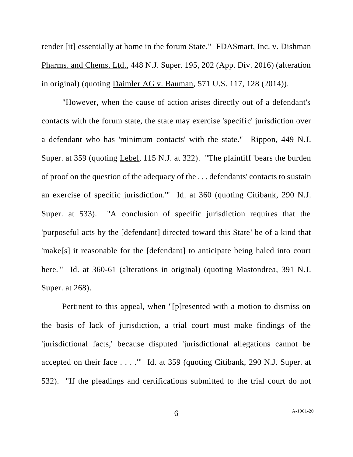render [it] essentially at home in the forum State." FDASmart, Inc. v. Dishman Pharms. and Chems. Ltd., 448 N.J. Super. 195, 202 (App. Div. 2016) (alteration in original) (quoting Daimler AG v. Bauman, 571 U.S. 117, 128 (2014)).

"However, when the cause of action arises directly out of a defendant's contacts with the forum state, the state may exercise 'specific' jurisdiction over a defendant who has 'minimum contacts' with the state." Rippon, 449 N.J. Super. at 359 (quoting Lebel, 115 N.J. at 322). "The plaintiff 'bears the burden of proof on the question of the adequacy of the . . . defendants' contacts to sustain an exercise of specific jurisdiction.'" Id. at 360 (quoting Citibank, 290 N.J. Super. at 533). "A conclusion of specific jurisdiction requires that the 'purposeful acts by the [defendant] directed toward this State' be of a kind that 'make[s] it reasonable for the [defendant] to anticipate being haled into court here.'" Id. at 360-61 (alterations in original) (quoting Mastondrea, 391 N.J. Super. at 268).

Pertinent to this appeal, when "[p]resented with a motion to dismiss on the basis of lack of jurisdiction, a trial court must make findings of the 'jurisdictional facts,' because disputed 'jurisdictional allegations cannot be accepted on their face . . . .'" Id. at 359 (quoting Citibank, 290 N.J. Super. at 532). "If the pleadings and certifications submitted to the trial court do not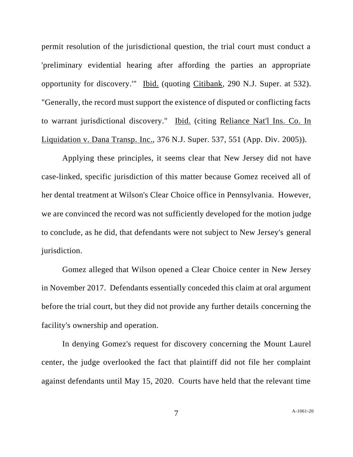permit resolution of the jurisdictional question, the trial court must conduct a 'preliminary evidential hearing after affording the parties an appropriate opportunity for discovery.'" Ibid. (quoting Citibank, 290 N.J. Super. at 532). "Generally, the record must support the existence of disputed or conflicting facts to warrant jurisdictional discovery." Ibid. (citing Reliance Nat'l Ins. Co. In Liquidation v. Dana Transp. Inc., 376 N.J. Super. 537, 551 (App. Div. 2005)).

Applying these principles, it seems clear that New Jersey did not have case-linked, specific jurisdiction of this matter because Gomez received all of her dental treatment at Wilson's Clear Choice office in Pennsylvania. However, we are convinced the record was not sufficiently developed for the motion judge to conclude, as he did, that defendants were not subject to New Jersey's general jurisdiction.

Gomez alleged that Wilson opened a Clear Choice center in New Jersey in November 2017. Defendants essentially conceded this claim at oral argument before the trial court, but they did not provide any further details concerning the facility's ownership and operation.

In denying Gomez's request for discovery concerning the Mount Laurel center, the judge overlooked the fact that plaintiff did not file her complaint against defendants until May 15, 2020. Courts have held that the relevant time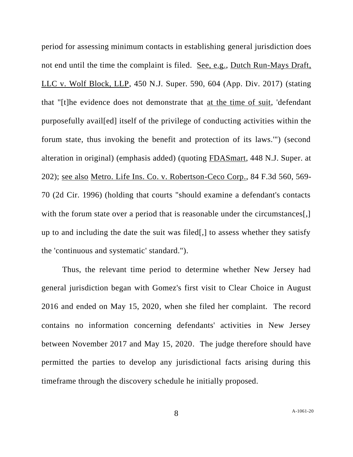period for assessing minimum contacts in establishing general jurisdiction does not end until the time the complaint is filed. See, e.g., Dutch Run-Mays Draft, LLC v. Wolf Block, LLP, 450 N.J. Super. 590, 604 (App. Div. 2017) (stating that "[t]he evidence does not demonstrate that at the time of suit, 'defendant purposefully avail[ed] itself of the privilege of conducting activities within the forum state, thus invoking the benefit and protection of its laws.'") (second alteration in original) (emphasis added) (quoting FDASmart, 448 N.J. Super. at 202); see also Metro. Life Ins. Co. v. Robertson-Ceco Corp., 84 F.3d 560, 569- 70 (2d Cir. 1996) (holding that courts "should examine a defendant's contacts with the forum state over a period that is reasonable under the circumstances[,] up to and including the date the suit was filed[,] to assess whether they satisfy the 'continuous and systematic' standard.").

Thus, the relevant time period to determine whether New Jersey had general jurisdiction began with Gomez's first visit to Clear Choice in August 2016 and ended on May 15, 2020, when she filed her complaint. The record contains no information concerning defendants' activities in New Jersey between November 2017 and May 15, 2020. The judge therefore should have permitted the parties to develop any jurisdictional facts arising during this timeframe through the discovery schedule he initially proposed.

8